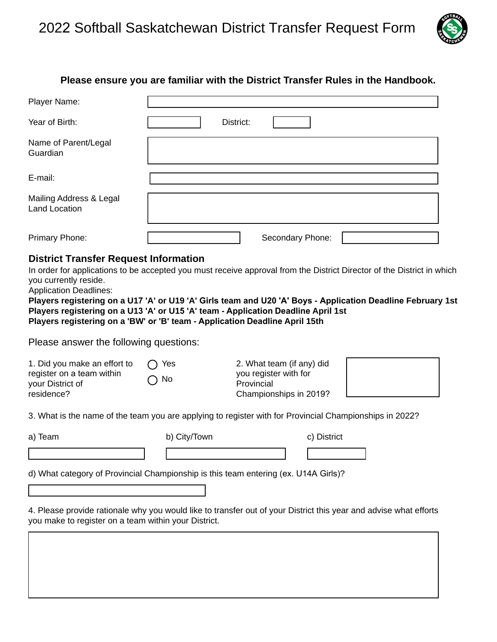

## **Please ensure you are familiar with the District Transfer Rules in the Handbook.**

| Player Name:                                    |                  |
|-------------------------------------------------|------------------|
| Year of Birth:                                  | District:        |
| Name of Parent/Legal<br>Guardian                |                  |
| E-mail:                                         |                  |
| Mailing Address & Legal<br><b>Land Location</b> |                  |
| Primary Phone:                                  | Secondary Phone: |

## **District Transfer Request Information**

In order for applications to be accepted you must receive approval from the District Director of the District in which you currently reside.

Application Deadlines:

**Players registering on a U17 'A' or U19 'A' Girls team and U20 'A' Boys - Application Deadline February 1st Players registering on a U13 'A' or U15 'A' team - Application Deadline April 1st Players registering on a 'BW' or 'B' team - Application Deadline April 15th** 

Please answer the following questions:

| 1. Did you make an effort to<br>register on a team within<br>your District of<br>residence? | Yes<br>$\bigcirc$ No | 2. What team (if any) did<br>you register with for<br>Provincial<br>Championships in 2019?              |  |
|---------------------------------------------------------------------------------------------|----------------------|---------------------------------------------------------------------------------------------------------|--|
|                                                                                             |                      | 3. What is the name of the team you are applying to register with for Provincial Championships in 2022? |  |

3. What is the name of the team you are applying to register with for Provincial Championships in 2022?

b) City/Town c) District

d) What category of Provincial Championship is this team entering (ex. U14A Girls)?

4. Please provide rationale why you would like to transfer out of your District this year and advise what efforts you make to register on a team within your District.